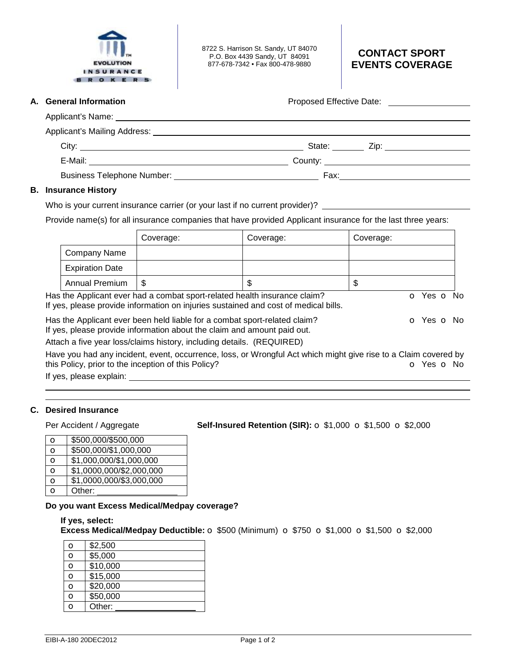

8722 S. Harrison St. Sandy, UT 84070 P.O. Box 4439 Sandy, UT 84091 877-678-7342 • Fax 800-478-9880

# **CONTACT SPORT EVENTS COVERAGE**

**A.** General Information **Proposed Effective Date: Proposed Effective Date:** 2012

| City:                                                                                                                                                                                                                          |      |  |
|--------------------------------------------------------------------------------------------------------------------------------------------------------------------------------------------------------------------------------|------|--|
| E-Mail: E-Mail: E-Mail: E-Mail: E-Mail: E-Mail: E-Mail: E-Mail: E-Mail: E-Mail: E-Mail: E-Mail: E-Mail: E-Mail: E-Mail: E-Mail: E-Mail: E-Mail: E-Mail: E-Mail: E-Mail: E-Mail: E-Mail: E-Mail: E-Mail: E-Mail: E-Mail: E-Mail |      |  |
| <b>Business Telephone Number:</b> Number:                                                                                                                                                                                      | Fax: |  |

## **B. Insurance History**

Who is your current insurance carrier (or your last if no current provider)? \_\_\_\_\_

Provide name(s) for all insurance companies that have provided Applicant insurance for the last three years:

|                        | Coverage:                                                                                                                                                        | Coverage: | Coverage: |            |  |
|------------------------|------------------------------------------------------------------------------------------------------------------------------------------------------------------|-----------|-----------|------------|--|
| Company Name           |                                                                                                                                                                  |           |           |            |  |
| <b>Expiration Date</b> |                                                                                                                                                                  |           |           |            |  |
| Annual Premium         | S                                                                                                                                                                |           | \$        |            |  |
|                        | Has the Applicant ever had a combat sport-related health insurance claim?<br>If yes, please provide information on injuries sustained and cost of medical bills. |           |           | o Yes o No |  |
|                        | Has the Applicant ever been held liable for a combat sport-related claim?<br>If yes, please provide information about the claim and amount paid out.             |           |           | o Yes o No |  |
|                        | Attach a five year loss/claims history, including details. (REQUIRED)                                                                                            |           |           |            |  |

Have you had any incident, event, occurrence, loss, or Wrongful Act which might give rise to a Claim covered by this Policy, prior to the inception of this Policy? **o Yes o No** 

If yes, please explain:

#### **C. Desired Insurance**

 

Per Accident / Aggregate **Self-Insured Retention (SIR):** o \$1,000 o \$1,500 o \$2,000

| O        | \$500,000/\$500,000      |
|----------|--------------------------|
| $\Omega$ | \$500,000/\$1,000,000    |
| O        | \$1,000,000/\$1,000,000  |
| O        | \$1,0000,000/\$2,000,000 |
| O        | \$1,0000,000/\$3,000,000 |
| റ        | Other:                   |
|          |                          |

#### **Do you want Excess Medical/Medpay coverage?**

**If yes, select:** 

**Excess Medical/Medpay Deductible:** o \$500 (Minimum) o \$750 o \$1,000 o \$1,500 o \$2,000

| $\mathbf O$ | \$2,500  |
|-------------|----------|
| O           | \$5,000  |
| $\circ$     | \$10,000 |
| $\mathbf o$ | \$15,000 |
| O           | \$20,000 |
| $\mathbf o$ | \$50,000 |
| Õ           | Other:   |